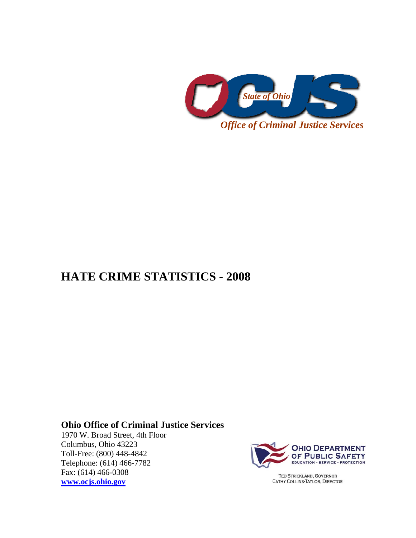

## **HATE CRIME STATISTICS - 2008**

## **Ohio Office of Criminal Justice Services**

1970 W. Broad Street, 4th Floor Columbus, Ohio 43223 Toll-Free: (800) 448-4842 Telephone: (614) 466-7782 Fax: (614) 466-0308 **[www.ocjs.ohio.gov](http://www.ocjs.ohio.gov/)**



**TED STRICKLAND, GOVERNOR** CATHY COLLINS-TAYLOR, DIRECTOR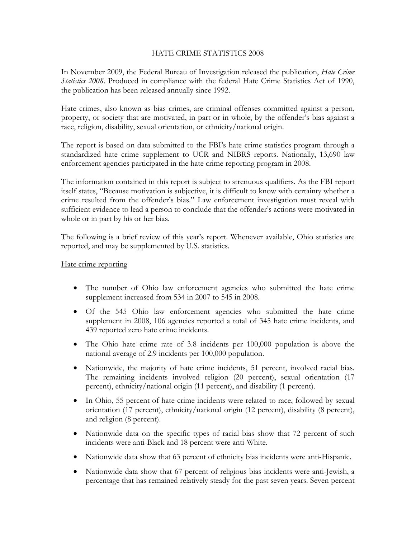## HATE CRIME STATISTICS 2008

In November 2009, the Federal Bureau of Investigation released the publication, *Hate Crime Statistics 2008*. Produced in compliance with the federal Hate Crime Statistics Act of 1990, the publication has been released annually since 1992.

Hate crimes, also known as bias crimes, are criminal offenses committed against a person, property, or society that are motivated, in part or in whole, by the offender's bias against a race, religion, disability, sexual orientation, or ethnicity/national origin.

The report is based on data submitted to the FBI's hate crime statistics program through a standardized hate crime supplement to UCR and NIBRS reports. Nationally, 13,690 law enforcement agencies participated in the hate crime reporting program in 2008.

The information contained in this report is subject to strenuous qualifiers. As the FBI report itself states, "Because motivation is subjective, it is difficult to know with certainty whether a crime resulted from the offender's bias." Law enforcement investigation must reveal with sufficient evidence to lead a person to conclude that the offender's actions were motivated in whole or in part by his or her bias.

The following is a brief review of this year's report. Whenever available, Ohio statistics are reported, and may be supplemented by U.S. statistics.

## Hate crime reporting

- The number of Ohio law enforcement agencies who submitted the hate crime supplement increased from 534 in 2007 to 545 in 2008.
- Of the 545 Ohio law enforcement agencies who submitted the hate crime supplement in 2008, 106 agencies reported a total of 345 hate crime incidents, and 439 reported zero hate crime incidents.
- The Ohio hate crime rate of 3.8 incidents per 100,000 population is above the national average of 2.9 incidents per 100,000 population.
- Nationwide, the majority of hate crime incidents, 51 percent, involved racial bias. The remaining incidents involved religion (20 percent), sexual orientation (17 percent), ethnicity/national origin (11 percent), and disability (1 percent).
- In Ohio, 55 percent of hate crime incidents were related to race, followed by sexual orientation (17 percent), ethnicity/national origin (12 percent), disability (8 percent), and religion (8 percent).
- Nationwide data on the specific types of racial bias show that 72 percent of such incidents were anti-Black and 18 percent were anti-White.
- Nationwide data show that 63 percent of ethnicity bias incidents were anti-Hispanic.
- Nationwide data show that 67 percent of religious bias incidents were anti-Jewish, a percentage that has remained relatively steady for the past seven years. Seven percent